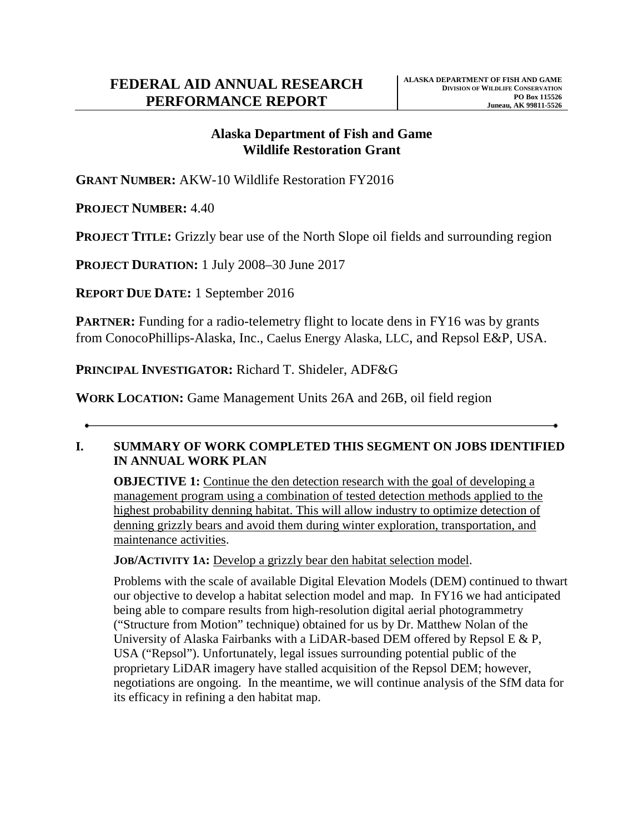# **Alaska Department of Fish and Game Wildlife Restoration Grant**

**GRANT NUMBER:** AKW-10 Wildlife Restoration FY2016

**PROJECT NUMBER:** 4.40

**PROJECT TITLE:** Grizzly bear use of the North Slope oil fields and surrounding region

**PROJECT DURATION:** 1 July 2008–30 June 2017

**REPORT DUE DATE:** 1 September 2016

**PARTNER:** Funding for a radio-telemetry flight to locate dens in FY16 was by grants from ConocoPhillips-Alaska, Inc., Caelus Energy Alaska, LLC, and Repsol E&P, USA.

**PRINCIPAL INVESTIGATOR:** Richard T. Shideler, ADF&G

**WORK LOCATION:** Game Management Units 26A and 26B, oil field region

## **I. SUMMARY OF WORK COMPLETED THIS SEGMENT ON JOBS IDENTIFIED IN ANNUAL WORK PLAN**

**OBJECTIVE 1:** Continue the den detection research with the goal of developing a management program using a combination of tested detection methods applied to the highest probability denning habitat. This will allow industry to optimize detection of denning grizzly bears and avoid them during winter exploration, transportation, and maintenance activities.

**JOB/ACTIVITY 1A:** Develop a grizzly bear den habitat selection model.

Problems with the scale of available Digital Elevation Models (DEM) continued to thwart our objective to develop a habitat selection model and map. In FY16 we had anticipated being able to compare results from high-resolution digital aerial photogrammetry ("Structure from Motion" technique) obtained for us by Dr. Matthew Nolan of the University of Alaska Fairbanks with a LiDAR-based DEM offered by Repsol E & P, USA ("Repsol"). Unfortunately, legal issues surrounding potential public of the proprietary LiDAR imagery have stalled acquisition of the Repsol DEM; however, negotiations are ongoing. In the meantime, we will continue analysis of the SfM data for its efficacy in refining a den habitat map.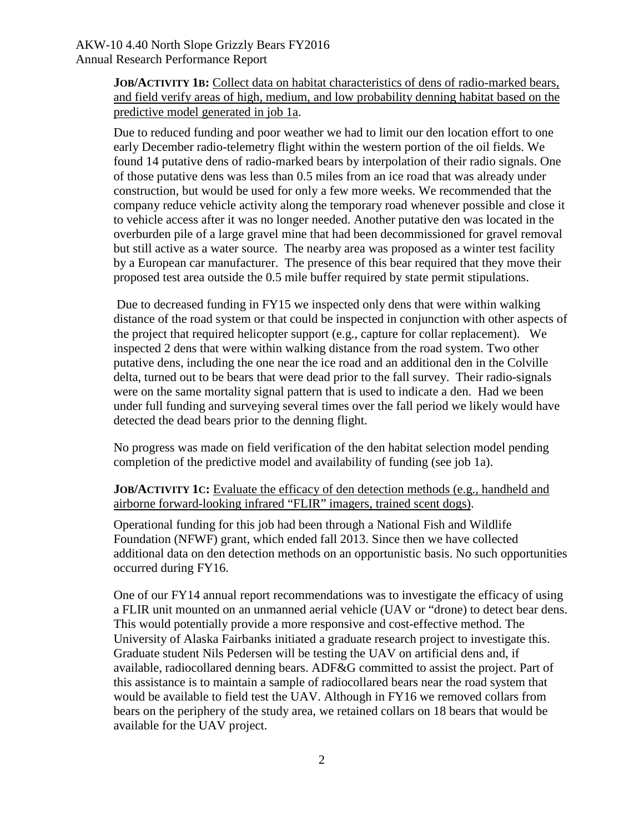### AKW-10 4.40 North Slope Grizzly Bears FY2016 Annual Research Performance Report

**JOB/ACTIVITY 1B:** Collect data on habitat characteristics of dens of radio-marked bears, and field verify areas of high, medium, and low probability denning habitat based on the predictive model generated in job 1a.

Due to reduced funding and poor weather we had to limit our den location effort to one early December radio-telemetry flight within the western portion of the oil fields. We found 14 putative dens of radio-marked bears by interpolation of their radio signals. One of those putative dens was less than 0.5 miles from an ice road that was already under construction, but would be used for only a few more weeks. We recommended that the company reduce vehicle activity along the temporary road whenever possible and close it to vehicle access after it was no longer needed. Another putative den was located in the overburden pile of a large gravel mine that had been decommissioned for gravel removal but still active as a water source. The nearby area was proposed as a winter test facility by a European car manufacturer. The presence of this bear required that they move their proposed test area outside the 0.5 mile buffer required by state permit stipulations.

Due to decreased funding in FY15 we inspected only dens that were within walking distance of the road system or that could be inspected in conjunction with other aspects of the project that required helicopter support (e.g., capture for collar replacement). We inspected 2 dens that were within walking distance from the road system. Two other putative dens, including the one near the ice road and an additional den in the Colville delta, turned out to be bears that were dead prior to the fall survey. Their radio-signals were on the same mortality signal pattern that is used to indicate a den. Had we been under full funding and surveying several times over the fall period we likely would have detected the dead bears prior to the denning flight.

No progress was made on field verification of the den habitat selection model pending completion of the predictive model and availability of funding (see job 1a).

**JOB/ACTIVITY 1C:** Evaluate the efficacy of den detection methods (e.g., handheld and airborne forward-looking infrared "FLIR" imagers, trained scent dogs).

Operational funding for this job had been through a National Fish and Wildlife Foundation (NFWF) grant, which ended fall 2013. Since then we have collected additional data on den detection methods on an opportunistic basis. No such opportunities occurred during FY16.

One of our FY14 annual report recommendations was to investigate the efficacy of using a FLIR unit mounted on an unmanned aerial vehicle (UAV or "drone) to detect bear dens. This would potentially provide a more responsive and cost-effective method. The University of Alaska Fairbanks initiated a graduate research project to investigate this. Graduate student Nils Pedersen will be testing the UAV on artificial dens and, if available, radiocollared denning bears. ADF&G committed to assist the project. Part of this assistance is to maintain a sample of radiocollared bears near the road system that would be available to field test the UAV. Although in FY16 we removed collars from bears on the periphery of the study area, we retained collars on 18 bears that would be available for the UAV project.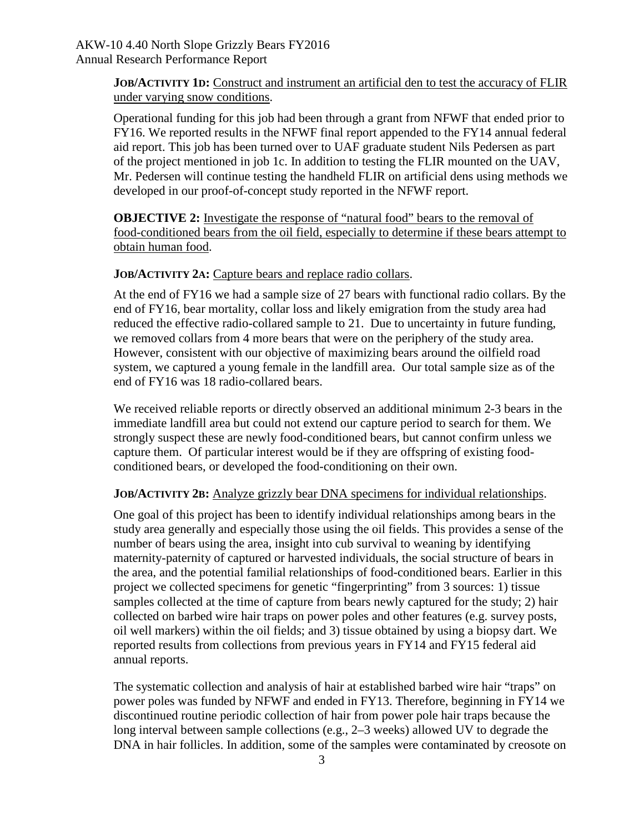**JOB/ACTIVITY 1D:** Construct and instrument an artificial den to test the accuracy of FLIR under varying snow conditions.

Operational funding for this job had been through a grant from NFWF that ended prior to FY16. We reported results in the NFWF final report appended to the FY14 annual federal aid report. This job has been turned over to UAF graduate student Nils Pedersen as part of the project mentioned in job 1c. In addition to testing the FLIR mounted on the UAV, Mr. Pedersen will continue testing the handheld FLIR on artificial dens using methods we developed in our proof-of-concept study reported in the NFWF report.

**OBJECTIVE 2:** Investigate the response of "natural food" bears to the removal of food-conditioned bears from the oil field, especially to determine if these bears attempt to obtain human food.

### **JOB/ACTIVITY 2A:** Capture bears and replace radio collars.

At the end of FY16 we had a sample size of 27 bears with functional radio collars. By the end of FY16, bear mortality, collar loss and likely emigration from the study area had reduced the effective radio-collared sample to 21. Due to uncertainty in future funding, we removed collars from 4 more bears that were on the periphery of the study area. However, consistent with our objective of maximizing bears around the oilfield road system, we captured a young female in the landfill area. Our total sample size as of the end of FY16 was 18 radio-collared bears.

We received reliable reports or directly observed an additional minimum 2-3 bears in the immediate landfill area but could not extend our capture period to search for them. We strongly suspect these are newly food-conditioned bears, but cannot confirm unless we capture them. Of particular interest would be if they are offspring of existing foodconditioned bears, or developed the food-conditioning on their own.

#### **JOB/ACTIVITY 2B:** Analyze grizzly bear DNA specimens for individual relationships.

One goal of this project has been to identify individual relationships among bears in the study area generally and especially those using the oil fields. This provides a sense of the number of bears using the area, insight into cub survival to weaning by identifying maternity-paternity of captured or harvested individuals, the social structure of bears in the area, and the potential familial relationships of food-conditioned bears. Earlier in this project we collected specimens for genetic "fingerprinting" from 3 sources: 1) tissue samples collected at the time of capture from bears newly captured for the study; 2) hair collected on barbed wire hair traps on power poles and other features (e.g. survey posts, oil well markers) within the oil fields; and 3) tissue obtained by using a biopsy dart. We reported results from collections from previous years in FY14 and FY15 federal aid annual reports.

The systematic collection and analysis of hair at established barbed wire hair "traps" on power poles was funded by NFWF and ended in FY13. Therefore, beginning in FY14 we discontinued routine periodic collection of hair from power pole hair traps because the long interval between sample collections (e.g., 2–3 weeks) allowed UV to degrade the DNA in hair follicles. In addition, some of the samples were contaminated by creosote on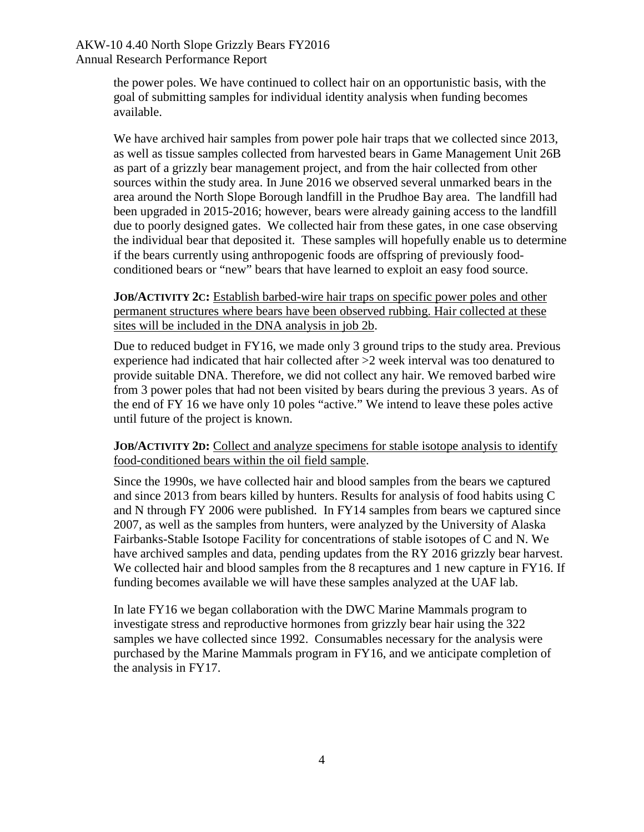### AKW-10 4.40 North Slope Grizzly Bears FY2016 Annual Research Performance Report

the power poles. We have continued to collect hair on an opportunistic basis, with the goal of submitting samples for individual identity analysis when funding becomes available.

We have archived hair samples from power pole hair traps that we collected since 2013, as well as tissue samples collected from harvested bears in Game Management Unit 26B as part of a grizzly bear management project, and from the hair collected from other sources within the study area. In June 2016 we observed several unmarked bears in the area around the North Slope Borough landfill in the Prudhoe Bay area. The landfill had been upgraded in 2015-2016; however, bears were already gaining access to the landfill due to poorly designed gates. We collected hair from these gates, in one case observing the individual bear that deposited it. These samples will hopefully enable us to determine if the bears currently using anthropogenic foods are offspring of previously foodconditioned bears or "new" bears that have learned to exploit an easy food source.

#### **JOB/ACTIVITY 2C:** Establish barbed-wire hair traps on specific power poles and other permanent structures where bears have been observed rubbing. Hair collected at these sites will be included in the DNA analysis in job 2b.

Due to reduced budget in FY16, we made only 3 ground trips to the study area. Previous experience had indicated that hair collected after >2 week interval was too denatured to provide suitable DNA. Therefore, we did not collect any hair. We removed barbed wire from 3 power poles that had not been visited by bears during the previous 3 years. As of the end of FY 16 we have only 10 poles "active." We intend to leave these poles active until future of the project is known.

### **JOB/ACTIVITY 2D:** Collect and analyze specimens for stable isotope analysis to identify food-conditioned bears within the oil field sample.

Since the 1990s, we have collected hair and blood samples from the bears we captured and since 2013 from bears killed by hunters. Results for analysis of food habits using C and N through FY 2006 were published. In FY14 samples from bears we captured since 2007, as well as the samples from hunters, were analyzed by the University of Alaska Fairbanks-Stable Isotope Facility for concentrations of stable isotopes of C and N. We have archived samples and data, pending updates from the RY 2016 grizzly bear harvest. We collected hair and blood samples from the 8 recaptures and 1 new capture in FY16. If funding becomes available we will have these samples analyzed at the UAF lab.

In late FY16 we began collaboration with the DWC Marine Mammals program to investigate stress and reproductive hormones from grizzly bear hair using the 322 samples we have collected since 1992. Consumables necessary for the analysis were purchased by the Marine Mammals program in FY16, and we anticipate completion of the analysis in FY17.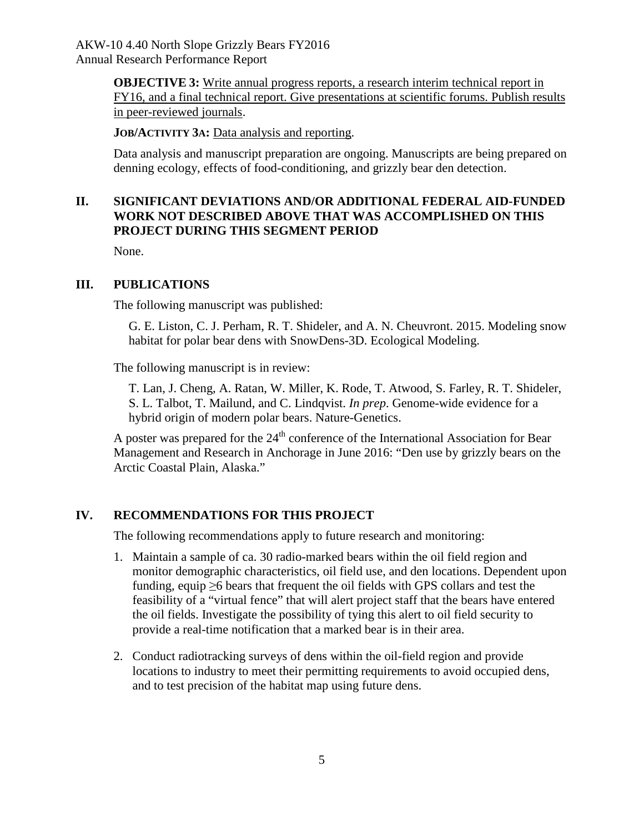**OBJECTIVE 3:** Write annual progress reports, a research interim technical report in FY16, and a final technical report. Give presentations at scientific forums. Publish results in peer-reviewed journals.

**JOB/ACTIVITY 3A:** Data analysis and reporting.

Data analysis and manuscript preparation are ongoing. Manuscripts are being prepared on denning ecology, effects of food-conditioning, and grizzly bear den detection.

## **II. SIGNIFICANT DEVIATIONS AND/OR ADDITIONAL FEDERAL AID-FUNDED WORK NOT DESCRIBED ABOVE THAT WAS ACCOMPLISHED ON THIS PROJECT DURING THIS SEGMENT PERIOD**

None.

### **III. PUBLICATIONS**

The following manuscript was published:

G. E. Liston, C. J. Perham, R. T. Shideler, and A. N. Cheuvront. 2015. Modeling snow habitat for polar bear dens with SnowDens-3D. Ecological Modeling.

The following manuscript is in review:

T. Lan, J. Cheng, A. Ratan, W. Miller, K. Rode, T. Atwood, S. Farley, R. T. Shideler, S. L. Talbot, T. Mailund, and C. Lindqvist. *In prep*. Genome-wide evidence for a hybrid origin of modern polar bears. Nature-Genetics.

A poster was prepared for the  $24<sup>th</sup>$  conference of the International Association for Bear Management and Research in Anchorage in June 2016: "Den use by grizzly bears on the Arctic Coastal Plain, Alaska."

# **IV. RECOMMENDATIONS FOR THIS PROJECT**

The following recommendations apply to future research and monitoring:

- 1. Maintain a sample of ca. 30 radio-marked bears within the oil field region and monitor demographic characteristics, oil field use, and den locations. Dependent upon funding, equip  $\geq 6$  bears that frequent the oil fields with GPS collars and test the feasibility of a "virtual fence" that will alert project staff that the bears have entered the oil fields. Investigate the possibility of tying this alert to oil field security to provide a real-time notification that a marked bear is in their area.
- 2. Conduct radiotracking surveys of dens within the oil-field region and provide locations to industry to meet their permitting requirements to avoid occupied dens, and to test precision of the habitat map using future dens.